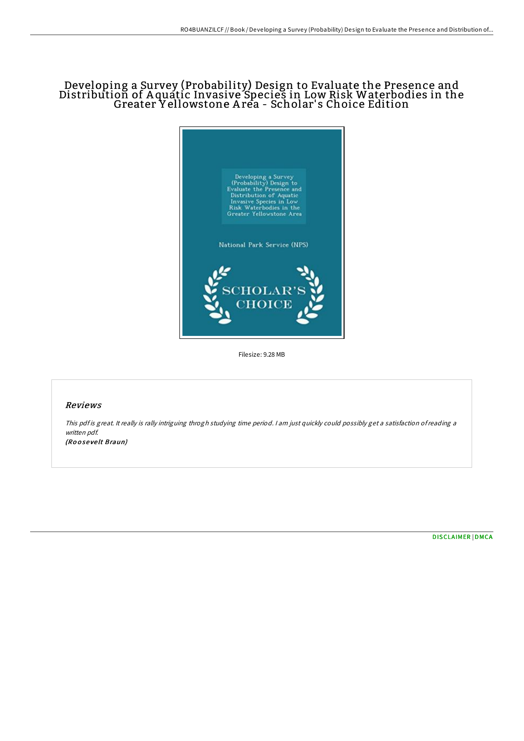## Developing a Survey (Probability) Design to Evaluate the Presence and Distribution of A quatic Invasive Species in Low Risk Waterbodies in the Greater Y ellowstone A rea - Scholar' s Choice Edition



Filesize: 9.28 MB

## Reviews

This pdf is great. It really is rally intriguing throgh studying time period. I am just quickly could possibly get a satisfaction of reading a written pdf. (Ro <sup>o</sup> se ve lt Braun)

[DISCLAIMER](http://almighty24.tech/disclaimer.html) | [DMCA](http://almighty24.tech/dmca.html)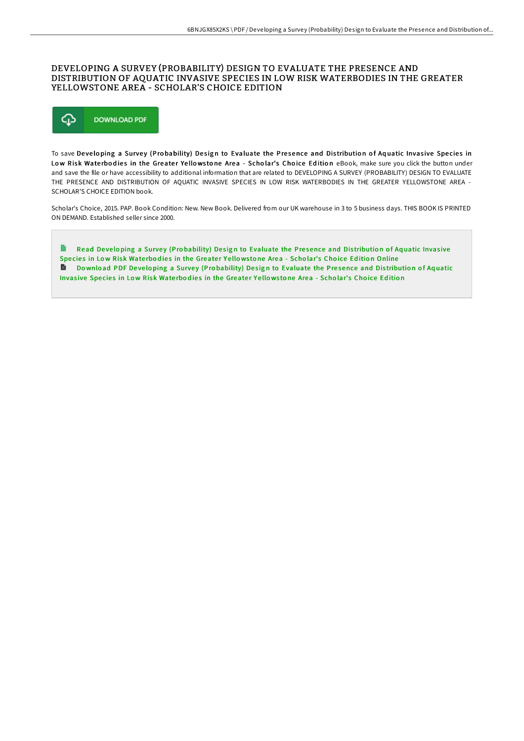## DEVELOPING A SURVEY (PROBABILITY) DESIGN TO EVALUATE THE PRESENCE AND DISTRIBUTION OF AQUATIC INVASIVE SPECIES IN LOW RISK WATERBODIES IN THE GREATER YELLOWSTONE AREA - SCHOLAR'S CHOICE EDITION



To save Developing a Survey (Probability) Design to Evaluate the Presence and Distribution of Aquatic Invasive Species in Low Risk Waterbodies in the Greater Yellowstone Area - Scholar's Choice Edition eBook, make sure you click the button under and save the file or have accessibility to additional information that are related to DEVELOPING A SURVEY (PROBABILITY) DESIGN TO EVALUATE THE PRESENCE AND DISTRIBUTION OF AQUATIC INVASIVE SPECIES IN LOW RISK WATERBODIES IN THE GREATER YELLOWSTONE AREA -SCHOLAR'S CHOICE EDITION book.

Scholar's Choice, 2015. PAP. Book Condition: New. New Book. Delivered from our UK warehouse in 3 to 5 business days. THIS BOOK IS PRINTED ON DEMAND. Established seller since 2000.

 $\blacksquare$ Read Developing a Survey (Probability) Design to [Evaluate](http://almighty24.tech/developing-a-survey-probability-design-to-evalua-1.html) the Presence and Distribution of Aquatic Invasive Species in Low Risk Waterbodies in the Greater Yellowstone Area - Scholar's Choice Edition Online Do wnload PDF Developing a Survey (Probability) Design to [Evaluate](http://almighty24.tech/developing-a-survey-probability-design-to-evalua-1.html) the Presence and Distribution of Aquatic Invasive Species in Low Risk Waterbodies in the Greater Yellowstone Area - Scholar's Choice Edition